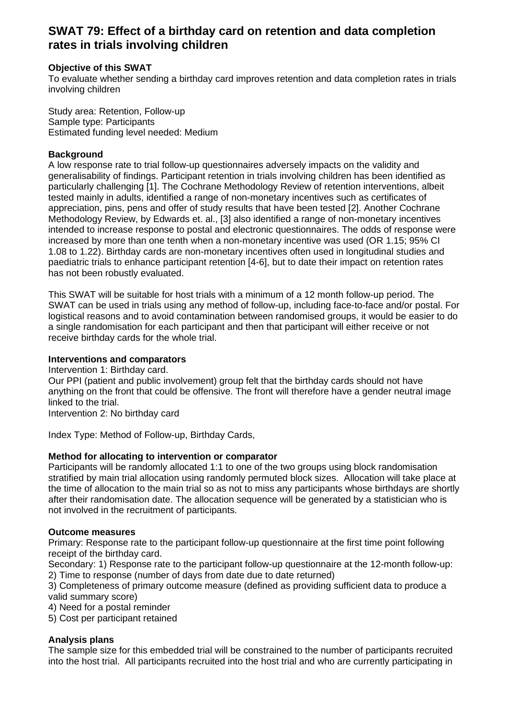# **SWAT 79: Effect of a birthday card on retention and data completion rates in trials involving children**

## **Objective of this SWAT**

To evaluate whether sending a birthday card improves retention and data completion rates in trials involving children

Study area: Retention, Follow-up Sample type: Participants Estimated funding level needed: Medium

### **Background**

A low response rate to trial follow-up questionnaires adversely impacts on the validity and generalisability of findings. Participant retention in trials involving children has been identified as particularly challenging [1]. The Cochrane Methodology Review of retention interventions, albeit tested mainly in adults, identified a range of non-monetary incentives such as certificates of appreciation, pins, pens and offer of study results that have been tested [2]. Another Cochrane Methodology Review, by Edwards et. al., [3] also identified a range of non-monetary incentives intended to increase response to postal and electronic questionnaires. The odds of response were increased by more than one tenth when a non-monetary incentive was used (OR 1.15; 95% CI 1.08 to 1.22). Birthday cards are non-monetary incentives often used in longitudinal studies and paediatric trials to enhance participant retention [4-6], but to date their impact on retention rates has not been robustly evaluated.

This SWAT will be suitable for host trials with a minimum of a 12 month follow-up period. The SWAT can be used in trials using any method of follow-up, including face-to-face and/or postal. For logistical reasons and to avoid contamination between randomised groups, it would be easier to do a single randomisation for each participant and then that participant will either receive or not receive birthday cards for the whole trial.

#### **Interventions and comparators**

Intervention 1: Birthday card. Our PPI (patient and public involvement) group felt that the birthday cards should not have anything on the front that could be offensive. The front will therefore have a gender neutral image linked to the trial.

Intervention 2: No birthday card

Index Type: Method of Follow-up, Birthday Cards,

### **Method for allocating to intervention or comparator**

Participants will be randomly allocated 1:1 to one of the two groups using block randomisation stratified by main trial allocation using randomly permuted block sizes. Allocation will take place at the time of allocation to the main trial so as not to miss any participants whose birthdays are shortly after their randomisation date. The allocation sequence will be generated by a statistician who is not involved in the recruitment of participants.

### **Outcome measures**

Primary: Response rate to the participant follow-up questionnaire at the first time point following receipt of the birthday card.

Secondary: 1) Response rate to the participant follow-up questionnaire at the 12-month follow-up: 2) Time to response (number of days from date due to date returned)

3) Completeness of primary outcome measure (defined as providing sufficient data to produce a valid summary score)

4) Need for a postal reminder

5) Cost per participant retained

### **Analysis plans**

The sample size for this embedded trial will be constrained to the number of participants recruited into the host trial. All participants recruited into the host trial and who are currently participating in